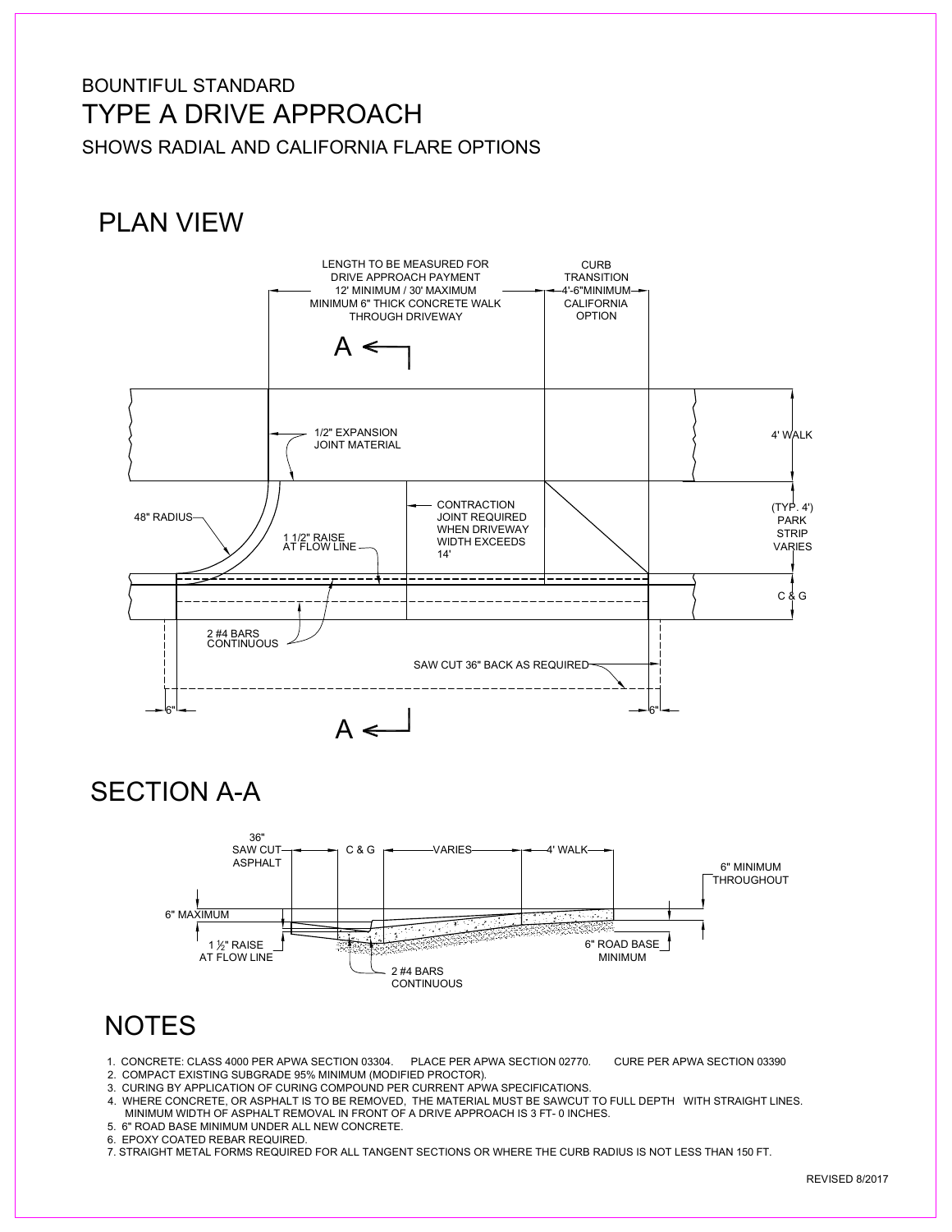### BOUNTIFUL STANDARD TYPE A DRIVE APPROACH SHOWS RADIAL AND CALIFORNIA FLARE OPTIONS

# PLAN VIEW



SECTION A-A



## **NOTES**

- 1. CONCRETE: CLASS 4000 PER APWA SECTION 03304. PLACE PER APWA SECTION 02770. CURE PER APWA SECTION 03390
- 2. COMPACT EXISTING SUBGRADE 95% MINIMUM (MODIFIED PROCTOR).
- 3. CURING BY APPLICATION OF CURING COMPOUND PER CURRENT APWA SPECIFICATIONS.
- 4. WHERE CONCRETE, OR ASPHALT IS TO BE REMOVED, THE MATERIAL MUST BE SAWCUT TO FULL DEPTH WITH STRAIGHT LINES.
- MINIMUM WIDTH OF ASPHALT REMOVAL IN FRONT OF A DRIVE APPROACH IS 3 FT- 0 INCHES.
- 5. 6" ROAD BASE MINIMUM UNDER ALL NEW CONCRETE.
- 6. EPOXY COATED REBAR REQUIRED.
- 7. STRAIGHT METAL FORMS REQUIRED FOR ALL TANGENT SECTIONS OR WHERE THE CURB RADIUS IS NOT LESS THAN 150 FT.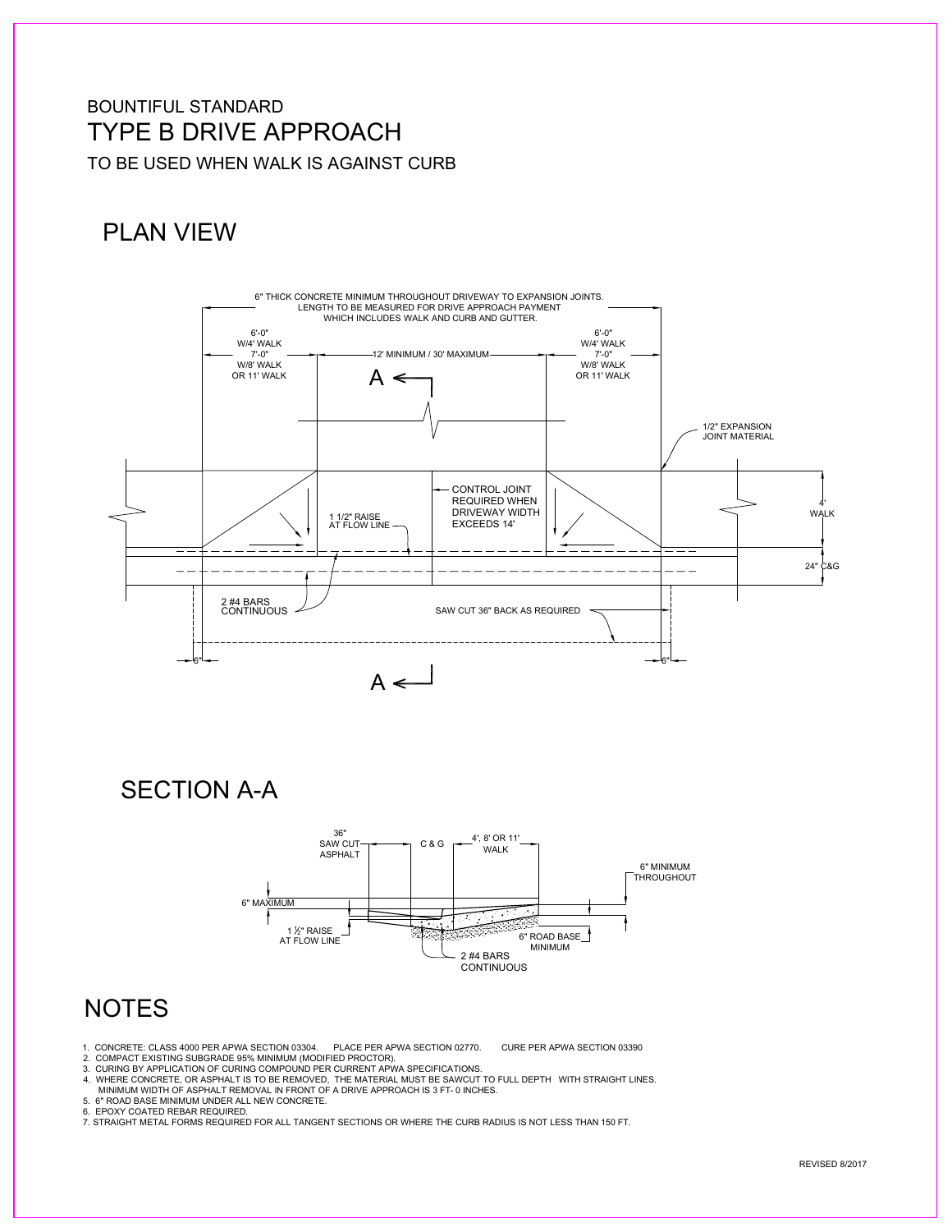#### BOUNTIFUL STANDARD TYPE B DRIVE APPROACH TO BE USED WHEN WALK IS AGAINST CURB

## PLAN VIEW



SECTION A-A



### **NOTES**

- 1. CONCRETE: CLASS 4000 PER APWA SECTION 03304. PLACE PER APWA SECTION 02770. CURE PER APWA SECTION 03390
- 2. COMPACT EXISTING SUBGRADE 95% MINIMUM (MODIFIED PROCTOR).<br>3. CURING BY APPLICATION OF CURING COMPOUND PER CURRENT APWA SPECIFICATIONS.
	-
- 4. WHERE CONCRETE, OR ASPHALT IS TO BE REMOVED, THE MATERIAL MUST BE SAWCUT TO FULL DEPTH WITH STRAIGHT LINES. MINIMUM WIDTH OF ASPHALT REMOVAL IN FRONT OF A DRIVE APPROACH IS 3 FT- 0 INCHES.
- 
- 5. 6" ROAD BASE MINIMUM UNDER ALL NEW CONCRETE.
- 6. EPOXY COATED REBAR REQUIRED.<br>7. STRAIGHT METAL FORMS REQUIRED FOR ALL TANGENT SECTIONS OR WHERE THE CURB RADIUS IS NOT LESS THAN 150 FT.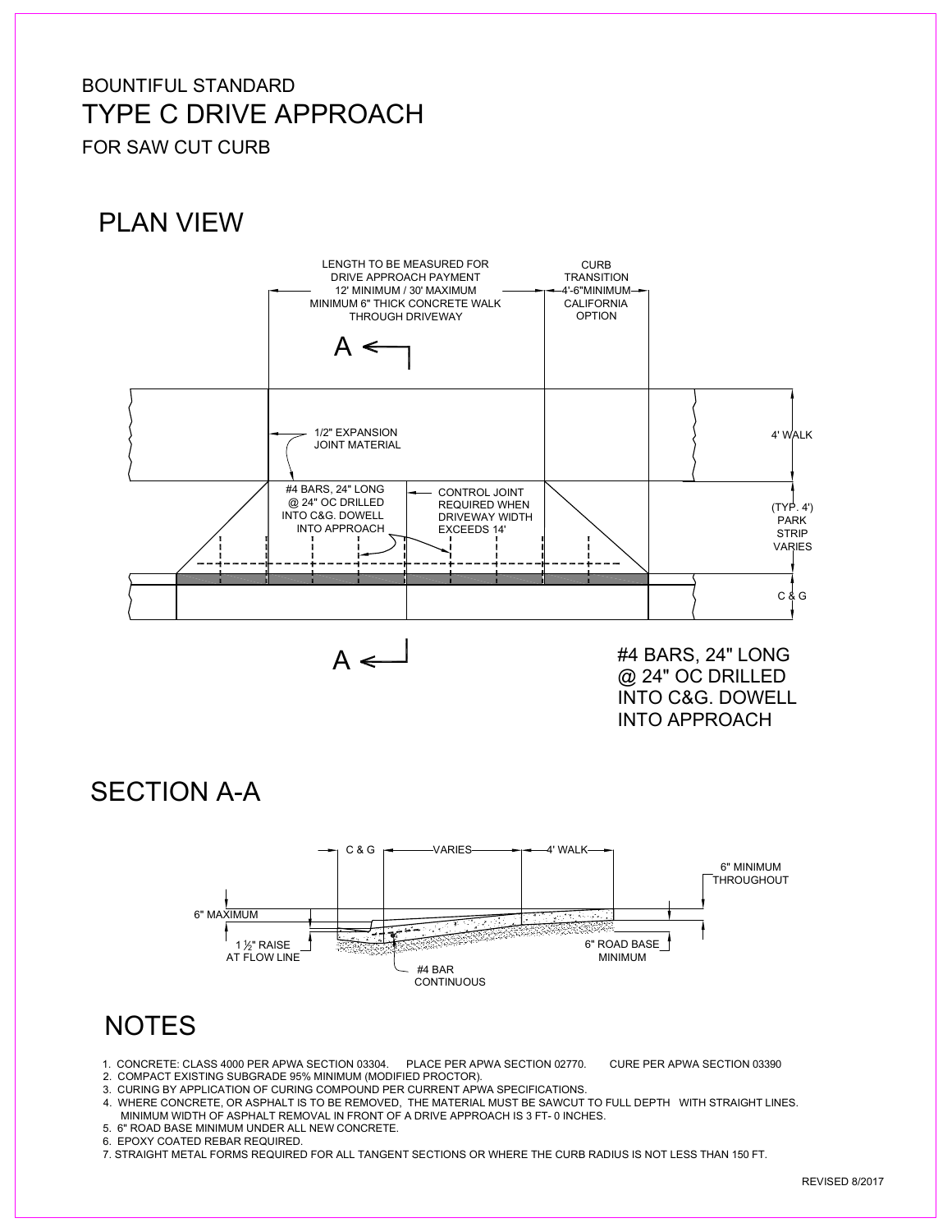#### BOUNTIFUL STANDARD TYPE C DRIVE APPROACH FOR SAW CUT CURB

# PLAN VIEW



#4 BARS, 24" LONG @ 24" OC DRILLED INTO C&G. DOWELL INTO APPROACH

SECTION A-A



## **NOTES**

- 1. CONCRETE: CLASS 4000 PER APWA SECTION 03304. PLACE PER APWA SECTION 02770. CURE PER APWA SECTION 03390
- 2. COMPACT EXISTING SUBGRADE 95% MINIMUM (MODIFIED PROCTOR).
- 3. CURING BY APPLICATION OF CURING COMPOUND PER CURRENT APWA SPECIFICATIONS.
- 4. WHERE CONCRETE, OR ASPHALT IS TO BE REMOVED, THE MATERIAL MUST BE SAWCUT TO FULL DEPTH WITH STRAIGHT LINES.
- MINIMUM WIDTH OF ASPHALT REMOVAL IN FRONT OF A DRIVE APPROACH IS 3 FT- 0 INCHES.
- 5. 6" ROAD BASE MINIMUM UNDER ALL NEW CONCRETE.
- 6. EPOXY COATED REBAR REQUIRED.

7. STRAIGHT METAL FORMS REQUIRED FOR ALL TANGENT SECTIONS OR WHERE THE CURB RADIUS IS NOT LESS THAN 150 FT.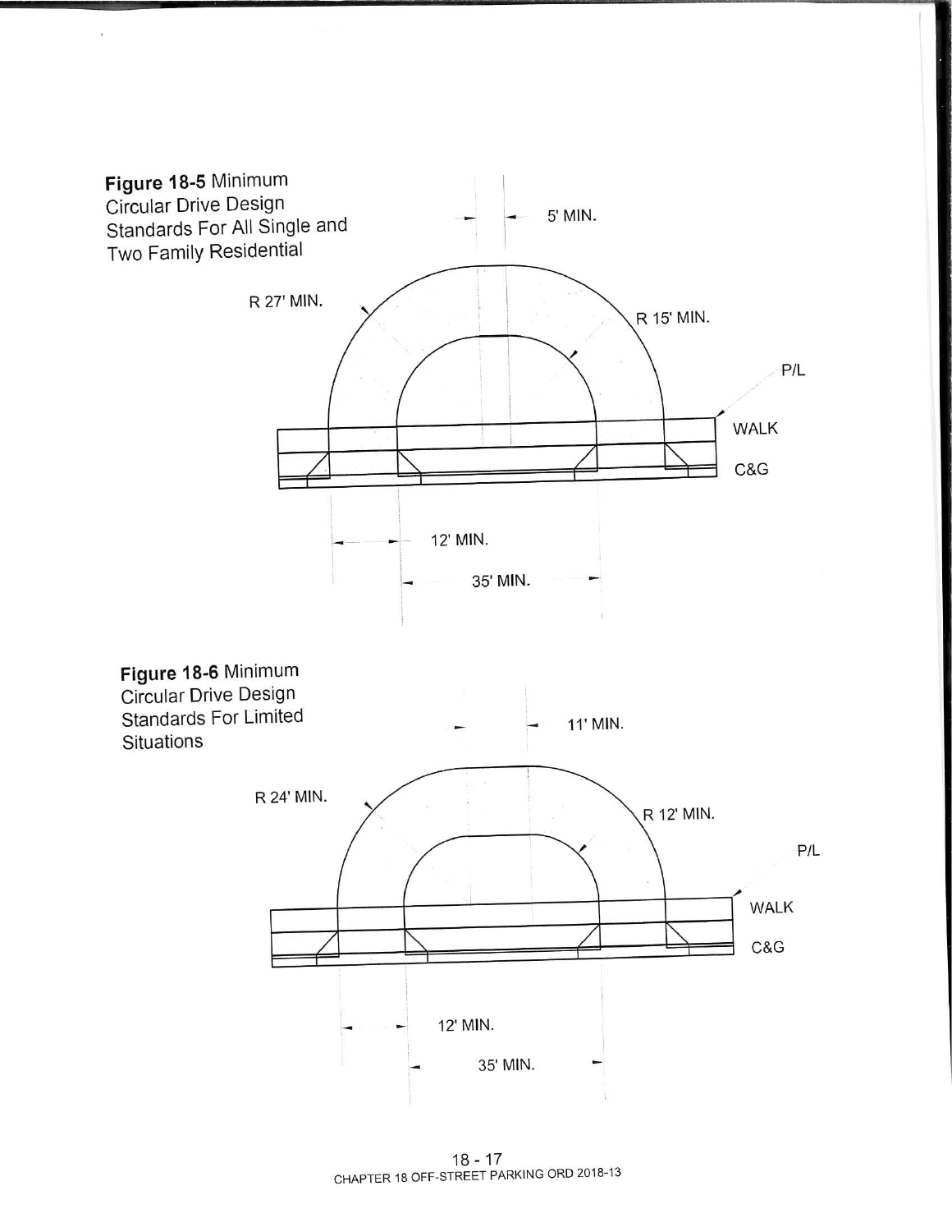

18 - 17<br>CHAPTER 18 OFF-STREET PARKING ORD 2018-13